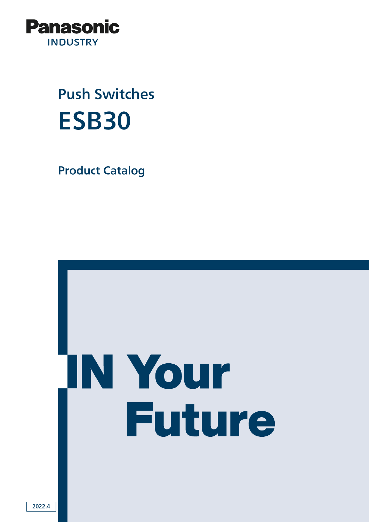

# Push Switches ESB30

Product Catalog

# **N Your Future**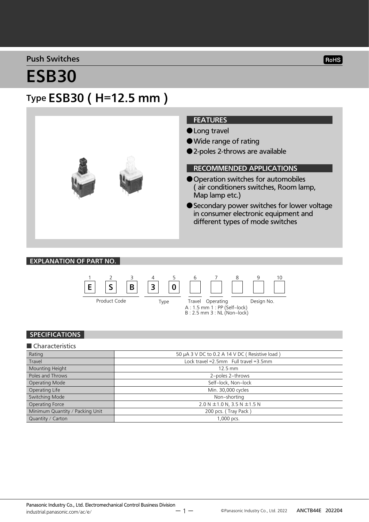#### Push Switches

#### RoHS

# ESB30

## Type ESB30 ( H=12.5 mm )



#### EXPLANATION OF PART NO.



#### SPECIFICATIONS

#### ■ Characteristics Rating **Example 20 A 3 V DC to 0.2 A 14 V DC** ( Resistive load ) Travel **Example 2.5mm** Full travel = 2.5mm Full travel = 2.5mm Mounting Height 12.5 mm Poles and Throws 2-poles 2-throws 22-poles 2throws 200 million and 2-poles 2throws 2-poles 2throws 2throws 2throws 2throws 2throws 2throws 2throws 2throws 2throws 2throws 2throws 2throws 2throws 2throws 2throws 2throws 2th Operating Mode Self-lock, Non-lock Operating Life Min. 30,000 cycles Switching Mode Nonshorting Non-shorting Operating Force 2.0 N ± 1.0 N, 3.5 N ± 1.5 N Minimum Quantity / Packing Unit 200 pcs. ( Tray Pack ) Quantity / Carton 2000 pcs.

ー 1 ー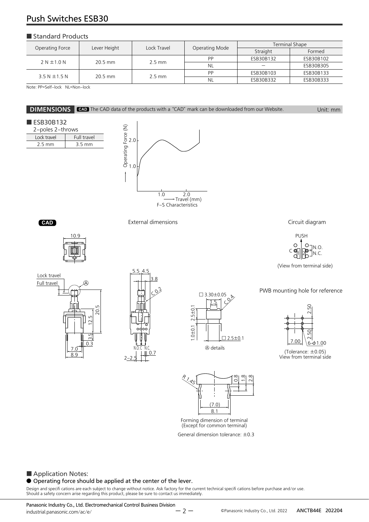### Push Switches ESB30

#### ■ Standard Products

| Operating Force   | Lever Height | Lock Travel      | Operating Mode | Terminal Shape |           |
|-------------------|--------------|------------------|----------------|----------------|-----------|
|                   |              |                  |                | Straight       | Formed    |
| 2 N ± 1.0 N       | $20.5$ mm    | $2.5 \text{ mm}$ | PP             | ESB30B132      | ESB30B102 |
|                   |              |                  | <b>NL</b>      |                | ESB30B305 |
| $3.5 N \pm 1.5 N$ | $20.5$ mm    | $2.5 \text{ mm}$ | PP             | ESB30B103      | ESB30B133 |
|                   |              |                  | NL             | ESB30B332      | ESB30B333 |

Note: PP=Self-lock NL=Non-lock

#### **DIMENSIONS** CAD The CAD data of the products with a "CAD" mark can be downloaded from our Website. Unit: mm

#### ■ ESB30B132

| 2-poles 2-throws |             |  |  |
|------------------|-------------|--|--|
| Lock travel      | Full travel |  |  |
| $25$ mm          | 3.5 mm      |  |  |
|                  |             |  |  |















(Except for common terminal)

General dimension tolerance: ±0.3

#### ■ Application Notes:

#### ● Operating force should be applied at the center of the lever.

Design and specifi cations are each subject to change without notice. Ask factory for the current technical specifi cations before purchase and/or use.<br>Should a safety concern arise regarding this product, please be sure t

Panasonic Industry Co., Ltd. Electromechanical Control Business Division industrial.panasonic.com/ac/e/

ANCTB44E 202204 Panasonic Industry Co., Ltd. 2022

External dimensions **CAD** Circuit diagram



(View from terminal side)

PWB mounting hole for reference



(Tolerance: ±0.05) View from terminal side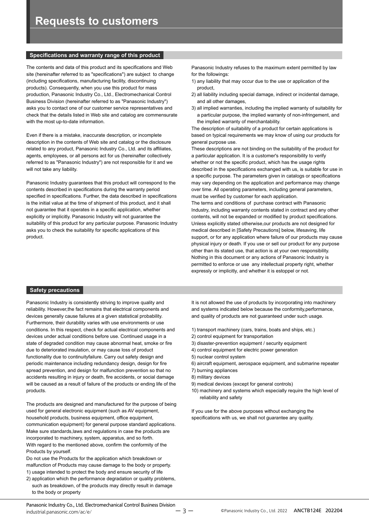#### **Specifications and warranty range of this product**

The contents and data of this product and its specifications and Web site (hereinafter referred to as "specifications") are subject to change (including specifications, manufacturing facility, discontinuing products). Consequently, when you use this product for mass production, Panasonic Industry Co., Ltd., Electromechanical Control Business Division (hereinafter referred to as "Panasonic Industry") asks you to contact one of our customer service representatives and check that the details listed in Web site and catalog are commensurate with the most up-to-date information.

Even if there is a mistake, inaccurate description, or incomplete description in the contents of Web site and catalog or the disclosure related to any product, Panasonic Industry Co., Ltd. and its affiliates, agents, employees, or all persons act for us (hereinafter collectively referred to as "Panasonic Industry") are not responsible for it and we will not take any liability.

Panasonic Industry guarantees that this product will correspond to the contents described in specifications during the warranty period specified in specifications. Further, the data described in specifications is the initial value at the time of shipment of this product, and it shall not guarantee that it operates in a specific application, whether explicitly or implicitly. Panasonic Industry will not guarantee the suitability of this product for any particular purpose. Panasonic Industry asks you to check the suitability for specific applications of this product.

Panasonic Industry refuses to the maximum extent permitted by law for the followings:

- 1) any liability that may occur due to the use or application of the product,
- 2) all liability including special damage, indirect or incidental damage, and all other damages,
- 3) all implied warranties, including the implied warranty of suitability for a particular purpose, the implied warranty of non-infringement, and the implied warranty of merchantability.

The description of suitability of a product for certain applications is based on typical requirements we may know of using our products for general purpose use.

These descriptions are not binding on the suitability of the product for a particular application. It is a customer's responsibility to verify whether or not the specific product, which has the usage rights described in the specifications exchanged with us, is suitable for use in a specific purpose. The parameters given in catalogs or specifications may vary depending on the application and performance may change over time. All operating parameters, including general parameters, must be verified by customer for each application.

The terms and conditions of purchase contract with Panasonic Industry, including warranty contents stated in contract and any other contents, will not be expanded or modified by product specifications. Unless explicitly stated otherwise,our products are not designed for medical described in [Safety Precautions] below, lifesaving, life support, or for any application where failure of our products may cause physical injury or death. If you use or sell our product for any purpose other than its stated use, that action is at your own responsibility. Nothing in this document or any actions of Panasonic Industry is permitted to enforce or use any intellectual property right, whether expressly or implicitly, and whether it is estoppel or not.

#### **Safety precautions**

Panasonic Industry is consistently striving to improve quality and reliability. However,the fact remains that electrical components and devices generally cause failures at a given statistical probability. Furthermore, their durability varies with use environments or use conditions. In this respect, check for actual electrical components and devices under actual conditions before use. Continued usage in a state of degraded condition may cause abnormal heat, smoke or fire due to deteriorated insulation, or may cause loss of product functionality due to continuityfailure. Carry out safety design and periodic maintenance including redundancy design, design for fire spread prevention, and design for malfunction prevention so that no accidents resulting in injury or death, fire accidents, or social damage will be caused as a result of failure of the products or ending life of the products.

The products are designed and manufactured for the purpose of being used for general electronic equipment (such as AV equipment, household products, business equipment, office equipment, communication equipment) for general purpose standard applications. Make sure standards,laws and regulations in case the products are incorporated to machinery, system, apparatus, and so forth. With regard to the mentioned above, confirm the conformity of the Products by yourself.

Do not use the Products for the application which breakdown or malfunction of Products may cause damage to the body or property. 1) usage intended to protect the body and ensure security of life

2) application which the performance degradation or quality problems, such as breakdown, of the products may directly result in damage to the body or property

It is not allowed the use of products by incorporating into machinery and systems indicated below because the conformity,performance, and quality of products are not guaranteed under such usage.

- 1) transport machinery (cars, trains, boats and ships, etc.)
- 2) control equipment for transportation
- 3) disaster-prevention equipment / security equipment
- 4) control equipment for electric power generation
- 5) nuclear control system
- 6) aircraft equipment, aerospace equipment, and submarine repeater
- 7) burning appliances
- 8) military devices
- 9) medical devices (except for general controls)
- 10) machinery and systems which especially require the high level of reliability and safety

If you use for the above purposes without exchanging the specifications with us, we shall not guarantee any quality.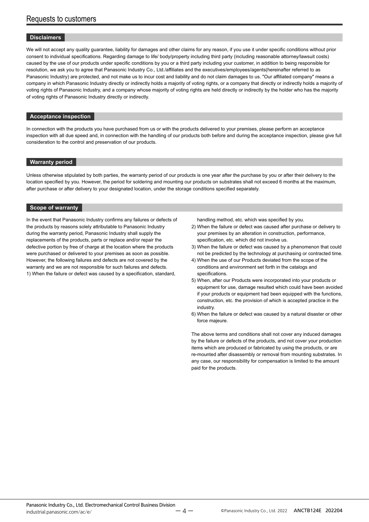#### **Disclaimers**

We will not accept any quality guarantee, liability for damages and other claims for any reason, if you use it under specific conditions without prior consent to individual specifications. Regarding damage to life/ body/property including third party (including reasonable attorney/lawsuit costs) caused by the use of our products under specific conditions by you or a third party including your customer, in addition to being responsible for resolution, we ask you to agree that Panasonic Industry Co., Ltd./affiliates and the executives/employees/agents(hereinafter referred to as Panasonic Industry) are protected, and not make us to incur cost and liability and do not claim damages to us. "Our affiliated company" means a company in which Panasonic Industry directly or indirectly holds a majority of voting rights, or a company that directly or indirectly holds a majority of voting rights of Panasonic Industry, and a company whose majority of voting rights are held directly or indirectly by the holder who has the majority of voting rights of Panasonic Industry directly or indirectly.

#### **Acceptance inspection**

In connection with the products you have purchased from us or with the products delivered to your premises, please perform an acceptance inspection with all due speed and, in connection with the handling of our products both before and during the acceptance inspection, please give full consideration to the control and preservation of our products.

#### **Warranty period**

Unless otherwise stipulated by both parties, the warranty period of our products is one year after the purchase by you or after their delivery to the location specified by you. However, the period for soldering and mounting our products on substrates shall not exceed 6 months at the maximum, after purchase or after delivery to your designated location, under the storage conditions specified separately.

#### **Scope of warranty**

In the event that Panasonic Industry confirms any failures or defects of the products by reasons solely attributable to Panasonic Industry during the warranty period, Panasonic Industry shall supply the replacements of the products, parts or replace and/or repair the defective portion by free of charge at the location where the products were purchased or delivered to your premises as soon as possible. However, the following failures and defects are not covered by the warranty and we are not responsible for such failures and defects. 1) When the failure or defect was caused by a specification, standard,

handling method, etc. which was specified by you.

- 2) When the failure or defect was caused after purchase or delivery to your premises by an alteration in construction, performance, specification, etc. which did not involve us.
- 3) When the failure or defect was caused by a phenomenon that could not be predicted by the technology at purchasing or contracted time.
- 4) When the use of our Products deviated from the scope of the conditions and environment set forth in the catalogs and specifications.
- 5) When, after our Products were incorporated into your products or equipment for use, damage resulted which could have been avoided if your products or equipment had been equipped with the functions, construction, etc. the provision of which is accepted practice in the industry.
- 6) When the failure or defect was caused by a natural disaster or other force majeure.

The above terms and conditions shall not cover any induced damages by the failure or defects of the products, and not cover your production items which are produced or fabricated by using the products, or are re-mounted after disassembly or removal from mounting substrates. In any case, our responsibility for compensation is limited to the amount paid for the products.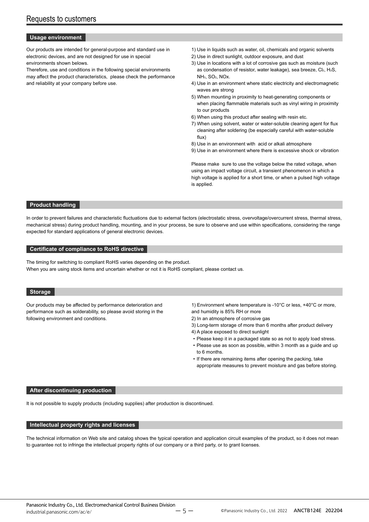#### **Usage environment**

Our products are intended for general-purpose and standard use in electronic devices, and are not designed for use in special environments shown belows.

Therefore, use and conditions in the following special environments may affect the product characteristics, please check the performance and reliability at your company before use.

- 1) Use in liquids such as water, oil, chemicals and organic solvents
- 2) Use in direct sunlight, outdoor exposure, and dust
- 3) Use in locations with a lot of corrosive gas such as moisture (such as condensation of resistor, water leakage), sea breeze, Cl2, H2S, NH3, SO2, NOx.
- 4) Use in an environment where static electricity and electromagnetic waves are strong
- 5) When mounting in proximity to heat-generating components or when placing flammable materials such as vinyl wiring in proximity to our products
- 6) When using this product after sealing with resin etc.
- 7) When using solvent, water or water-soluble cleaning agent for flux cleaning after soldering (be especially careful with water-soluble flux)
- 8) Use in an environment with acid or alkali atmosphere
- 9) Use in an environment where there is excessive shock or vibration

Please make sure to use the voltage below the rated voltage, when using an impact voltage circuit, a transient phenomenon in which a high voltage is applied for a short time, or when a pulsed high voltage is applied.

#### **Product handling**

In order to prevent failures and characteristic fluctuations due to external factors (electrostatic stress, overvoltage/overcurrent stress, thermal stress, mechanical stress) during product handling, mounting, and in your process, be sure to observe and use within specifications, considering the range expected for standard applications of general electronic devices.

#### **Certificate of compliance to RoHS directive**

The timing for switching to compliant RoHS varies depending on the product. When you are using stock items and uncertain whether or not it is RoHS compliant, please contact us.

#### **Storage**

Our products may be affected by performance deterioration and performance such as solderability, so please avoid storing in the following environment and conditions.

1) Environment where temperature is -10°C or less, +40°C or more, and humidity is 85% RH or more

- 2) In an atmosphere of corrosive gas
- 3) Long-term storage of more than 6 months after product delivery
- 4) A place exposed to direct sunlight
- Please keep it in a packaged state so as not to apply load stress.
- Please use as soon as possible, within 3 month as a guide and up to 6 months.
- If there are remaining items after opening the packing, take appropriate measures to prevent moisture and gas before storing.

#### **After discontinuing production**

It is not possible to supply products (including supplies) after production is discontinued.

#### **Intellectual property rights and licenses**

The technical information on Web site and catalog shows the typical operation and application circuit examples of the product, so it does not mean to guarantee not to infringe the intellectual property rights of our company or a third party, or to grant licenses.

ー 5 ー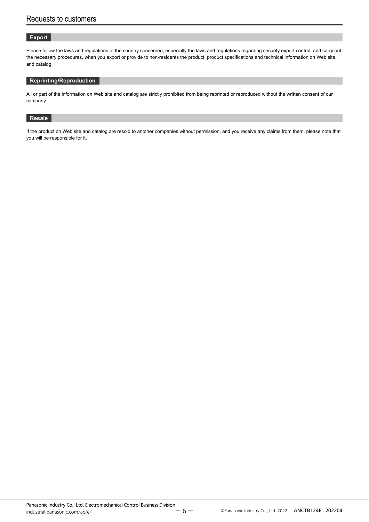#### **Export**

Please follow the laws and regulations of the country concerned, especially the laws and regulations regarding security export control, and carry out the necessary procedures, when you export or provide to non-residents the product, product specifications and technical information on Web site and catalog.

#### **Reprinting/Reproduction**

All or part of the information on Web site and catalog are strictly prohibited from being reprinted or reproduced without the written consent of our company.

#### **Resale**

If the product on Web site and catalog are resold to another companies without permission, and you receive any claims from them, please note that you will be responsible for it.